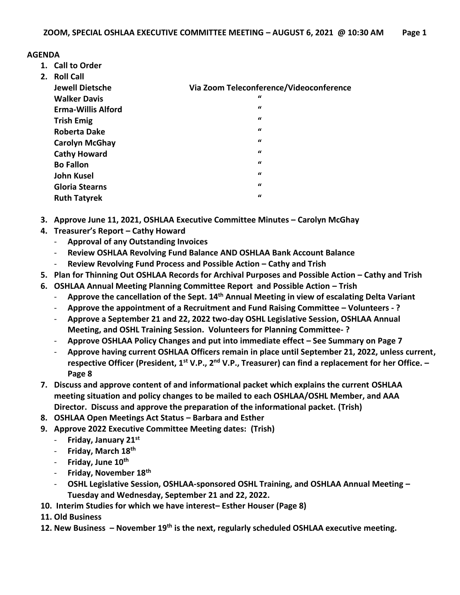#### **AGENDA**

**1. Call to Order**

| 2. | <b>Roll Call</b>          |                                         |
|----|---------------------------|-----------------------------------------|
|    | <b>Jewell Dietsche</b>    | Via Zoom Teleconference/Videoconference |
|    | <b>Walker Davis</b>       | "                                       |
|    | <b>Erma-Willis Alford</b> | $\bf{u}$                                |
|    | <b>Trish Emig</b>         | $\mathbf{u}$                            |
|    | <b>Roberta Dake</b>       | $\bf{u}$                                |
|    | <b>Carolyn McGhay</b>     | $\mathbf{u}$                            |
|    | <b>Cathy Howard</b>       | $\mathbf{u}$                            |
|    | <b>Bo Fallon</b>          | $\bf{u}$                                |
|    | John Kusel                | $\mathbf{u}$                            |
|    | <b>Gloria Stearns</b>     | $\bf{u}$                                |
|    | <b>Ruth Tatyrek</b>       | $\bf{u}$                                |
|    |                           |                                         |

- **3. Approve June 11, 2021, OSHLAA Executive Committee Minutes – Carolyn McGhay**
- **4. Treasurer's Report – Cathy Howard**
	- **Approval of any Outstanding Invoices**
	- **Review OSHLAA Revolving Fund Balance AND OSHLAA Bank Account Balance**
	- **Review Revolving Fund Process and Possible Action – Cathy and Trish**
- **5. Plan for Thinning Out OSHLAA Records for Archival Purposes and Possible Action – Cathy and Trish**
- **6. OSHLAA Annual Meeting Planning Committee Report and Possible Action – Trish** 
	- **Approve the cancellation of the Sept. 14th Annual Meeting in view of escalating Delta Variant**
	- **Approve the appointment of a Recruitment and Fund Raising Committee – Volunteers - ?**
	- **Approve a September 21 and 22, 2022 two-day OSHL Legislative Session, OSHLAA Annual Meeting, and OSHL Training Session. Volunteers for Planning Committee- ?**
	- **Approve OSHLAA Policy Changes and put into immediate effect – See Summary on Page 7**
	- **Approve having current OSHLAA Officers remain in place until September 21, 2022, unless current, respective Officer (President, 1st V.P., 2nd V.P., Treasurer) can find a replacement for her Office. – Page 8**
- **7. Discuss and approve content of and informational packet which explains the current OSHLAA meeting situation and policy changes to be mailed to each OSHLAA/OSHL Member, and AAA Director. Discuss and approve the preparation of the informational packet. (Trish)**
- **8. OSHLAA Open Meetings Act Status – Barbara and Esther**
- **9. Approve 2022 Executive Committee Meeting dates: (Trish)**
	- **Friday, January 21st**
	- **Friday, March 18th**
	- **Friday, June 10th**
	- **Friday, November 18th**
	- **OSHL Legislative Session, OSHLAA-sponsored OSHL Training, and OSHLAA Annual Meeting – Tuesday and Wednesday, September 21 and 22, 2022.**
- **10. Interim Studies for which we have interest– Esther Houser (Page 8)**
- **11. Old Business**
- **12. New Business – November 19th is the next, regularly scheduled OSHLAA executive meeting.**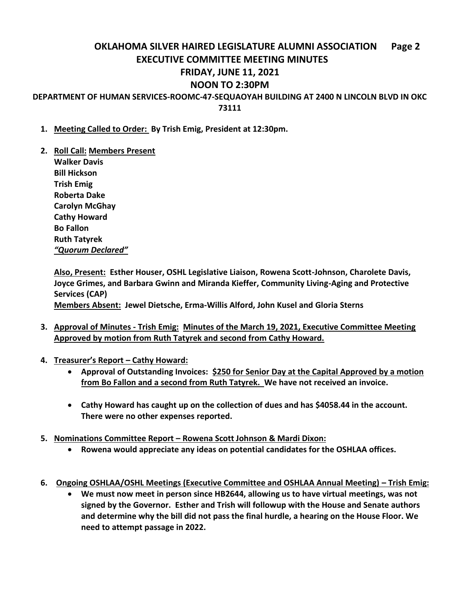# **OKLAHOMA SILVER HAIRED LEGISLATURE ALUMNI ASSOCIATION Page 2 EXECUTIVE COMMITTEE MEETING MINUTES FRIDAY, JUNE 11, 2021 NOON TO 2:30PM**

**DEPARTMENT OF HUMAN SERVICES-ROOMC-47-SEQUAOYAH BUILDING AT 2400 N LINCOLN BLVD IN OKC 73111**

- **1. Meeting Called to Order: By Trish Emig, President at 12:30pm.**
- **2. Roll Call: Members Present Walker Davis**

**Bill Hickson Trish Emig Roberta Dake Carolyn McGhay Cathy Howard Bo Fallon Ruth Tatyrek** *"Quorum Declared"*

**Also, Present: Esther Houser, OSHL Legislative Liaison, Rowena Scott-Johnson, Charolete Davis, Joyce Grimes, and Barbara Gwinn and Miranda Kieffer, Community Living-Aging and Protective Services (CAP) Members Absent: Jewel Dietsche, Erma-Willis Alford, John Kusel and Gloria Sterns**

- **3. Approval of Minutes - Trish Emig: Minutes of the March 19, 2021, Executive Committee Meeting Approved by motion from Ruth Tatyrek and second from Cathy Howard.**
- **4. Treasurer's Report – Cathy Howard:** 
	- **Approval of Outstanding Invoices: \$250 for Senior Day at the Capital Approved by a motion from Bo Fallon and a second from Ruth Tatyrek. We have not received an invoice.**
	- **Cathy Howard has caught up on the collection of dues and has \$4058.44 in the account. There were no other expenses reported.**
- **5. Nominations Committee Report – Rowena Scott Johnson & Mardi Dixon:**
	- **Rowena would appreciate any ideas on potential candidates for the OSHLAA offices.**
- **6. Ongoing OSHLAA/OSHL Meetings (Executive Committee and OSHLAA Annual Meeting) – Trish Emig:**
	- **We must now meet in person since HB2644, allowing us to have virtual meetings, was not signed by the Governor. Esther and Trish will followup with the House and Senate authors and determine why the bill did not pass the final hurdle, a hearing on the House Floor. We need to attempt passage in 2022.**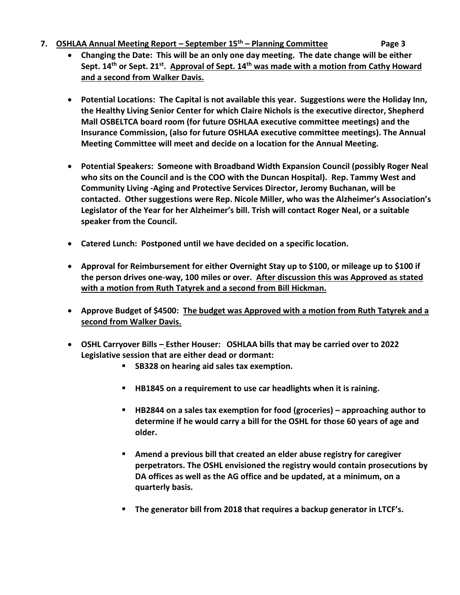- **7. OSHLAA Annual Meeting Report – September 15th – Planning Committee Page 3**
	- **Changing the Date: This will be an only one day meeting. The date change will be either Sept. 14th or Sept. 21st . Approval of Sept. 14th was made with a motion from Cathy Howard and a second from Walker Davis.**
	- **Potential Locations: The Capital is not available this year. Suggestions were the Holiday Inn, the Healthy Living Senior Center for which Claire Nichols is the executive director, Shepherd Mall OSBELTCA board room (for future OSHLAA executive committee meetings) and the Insurance Commission, (also for future OSHLAA executive committee meetings). The Annual Meeting Committee will meet and decide on a location for the Annual Meeting.**
	- **Potential Speakers: Someone with Broadband Width Expansion Council (possibly Roger Neal who sits on the Council and is the COO with the Duncan Hospital). Rep. Tammy West and Community Living -Aging and Protective Services Director, Jeromy Buchanan, will be contacted. Other suggestions were Rep. Nicole Miller, who was the Alzheimer's Association's Legislator of the Year for her Alzheimer's bill. Trish will contact Roger Neal, or a suitable speaker from the Council.**
	- **Catered Lunch: Postponed until we have decided on a specific location.**
	- **Approval for Reimbursement for either Overnight Stay up to \$100, or mileage up to \$100 if the person drives one-way, 100 miles or over. After discussion this was Approved as stated with a motion from Ruth Tatyrek and a second from Bill Hickman.**
	- **Approve Budget of \$4500: The budget was Approved with a motion from Ruth Tatyrek and a second from Walker Davis.**
	- **OSHL Carryover Bills – Esther Houser: OSHLAA bills that may be carried over to 2022 Legislative session that are either dead or dormant:**
		- **SB328 on hearing aid sales tax exemption.**
		- **HB1845 on a requirement to use car headlights when it is raining.**
		- **HB2844 on a sales tax exemption for food (groceries) – approaching author to determine if he would carry a bill for the OSHL for those 60 years of age and older.**
		- **Amend a previous bill that created an elder abuse registry for caregiver perpetrators. The OSHL envisioned the registry would contain prosecutions by DA offices as well as the AG office and be updated, at a minimum, on a quarterly basis.**
		- **The generator bill from 2018 that requires a backup generator in LTCF's.**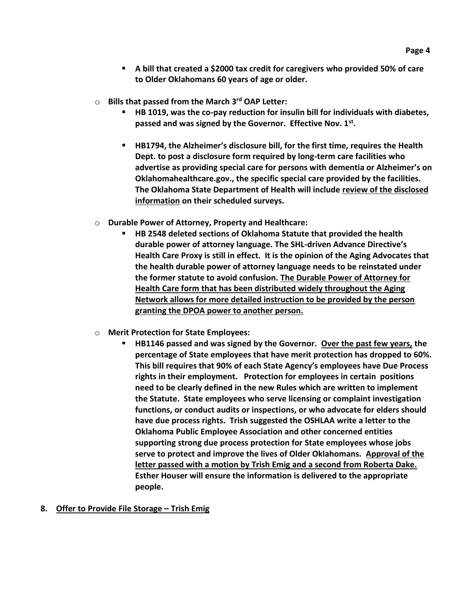- **A bill that created a \$2000 tax credit for caregivers who provided 50% of care to Older Oklahomans 60 years of age or older.**
- o **Bills that passed from the March 3rd OAP Letter:**
	- **HB 1019, was the co-pay reduction for insulin bill for individuals with diabetes, passed and was signed by the Governor. Effective Nov. 1st .**
	- **HB1794, the Alzheimer's disclosure bill, for the first time, requires the Health Dept. to post a disclosure form required by long-term care facilities who advertise as providing special care for persons with dementia or Alzheimer's on Oklahomahealthcare.gov., the specific special care provided by the facilities. The Oklahoma State Department of Health will include review of the disclosed information on their scheduled surveys.**
- o **Durable Power of Attorney, Property and Healthcare:**
	- **HB 2548 deleted sections of Oklahoma Statute that provided the health durable power of attorney language. The SHL-driven Advance Directive's Health Care Proxy is still in effect. It is the opinion of the Aging Advocates that the health durable power of attorney language needs to be reinstated under the former statute to avoid confusion. The Durable Power of Attorney for Health Care form that has been distributed widely throughout the Aging Network allows for more detailed instruction to be provided by the person granting the DPOA power to another person.**
- o **Merit Protection for State Employees:**
	- **HB1146 passed and was signed by the Governor. Over the past few years, the percentage of State employees that have merit protection has dropped to 60%. This bill requires that 90% of each State Agency's employees have Due Process rights in their employment. Protection for employees in certain positions need to be clearly defined in the new Rules which are written to implement the Statute. State employees who serve licensing or complaint investigation functions, or conduct audits or inspections, or who advocate for elders should have due process rights. Trish suggested the OSHLAA write a letter to the Oklahoma Public Employee Association and other concerned entities supporting strong due process protection for State employees whose jobs serve to protect and improve the lives of Older Oklahomans. Approval of the letter passed with a motion by Trish Emig and a second from Roberta Dake. Esther Houser will ensure the information is delivered to the appropriate people.**
- **8. Offer to Provide File Storage – Trish Emig**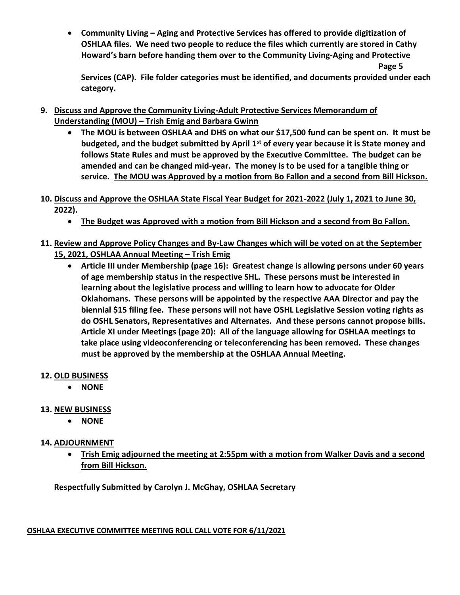• **Community Living – Aging and Protective Services has offered to provide digitization of OSHLAA files. We need two people to reduce the files which currently are stored in Cathy Howard's barn before handing them over to the Community Living-Aging and Protective Page 5**

**Services (CAP). File folder categories must be identified, and documents provided under each category.**

- **9. Discuss and Approve the Community Living-Adult Protective Services Memorandum of Understanding (MOU) – Trish Emig and Barbara Gwinn**
	- **The MOU is between OSHLAA and DHS on what our \$17,500 fund can be spent on. It must be budgeted, and the budget submitted by April 1st of every year because it is State money and follows State Rules and must be approved by the Executive Committee. The budget can be amended and can be changed mid-year. The money is to be used for a tangible thing or service. The MOU was Approved by a motion from Bo Fallon and a second from Bill Hickson.**
- **10. Discuss and Approve the OSHLAA State Fiscal Year Budget for 2021-2022 (July 1, 2021 to June 30, 2022).**
	- **The Budget was Approved with a motion from Bill Hickson and a second from Bo Fallon.**
- **11. Review and Approve Policy Changes and By-Law Changes which will be voted on at the September 15, 2021, OSHLAA Annual Meeting – Trish Emig**
	- **Article III under Membership (page 16): Greatest change is allowing persons under 60 years of age membership status in the respective SHL. These persons must be interested in learning about the legislative process and willing to learn how to advocate for Older Oklahomans. These persons will be appointed by the respective AAA Director and pay the biennial \$15 filing fee. These persons will not have OSHL Legislative Session voting rights as do OSHL Senators, Representatives and Alternates. And these persons cannot propose bills. Article XI under Meetings (page 20): All of the language allowing for OSHLAA meetings to take place using videoconferencing or teleconferencing has been removed. These changes must be approved by the membership at the OSHLAA Annual Meeting.**
- **12. OLD BUSINESS**
	- **NONE**

# **13. NEW BUSINESS**

• **NONE**

# **14. ADJOURNMENT**

• **Trish Emig adjourned the meeting at 2:55pm with a motion from Walker Davis and a second from Bill Hickson.**

**Respectfully Submitted by Carolyn J. McGhay, OSHLAA Secretary**

## **OSHLAA EXECUTIVE COMMITTEE MEETING ROLL CALL VOTE FOR 6/11/2021**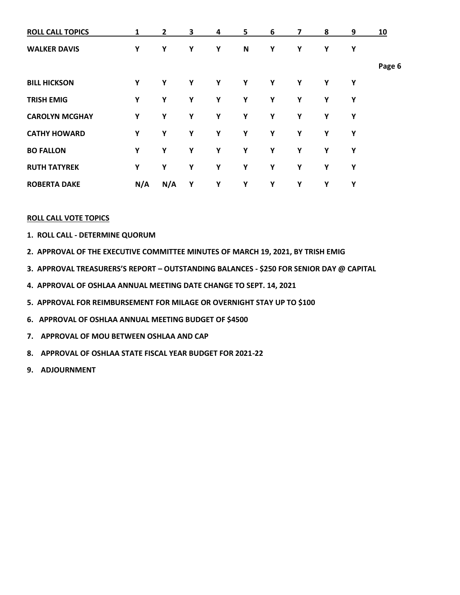| <b>ROLL CALL TOPICS</b> | 1   | 2   | 3 | 4 | 5 | 6 | 7 | 8 | 9 | 10     |
|-------------------------|-----|-----|---|---|---|---|---|---|---|--------|
| <b>WALKER DAVIS</b>     | Υ   | Υ   | Υ | Υ | N | Y | Υ | Y | Υ |        |
|                         |     |     |   |   |   |   |   |   |   | Page 6 |
| <b>BILL HICKSON</b>     | Υ   | Y   | Υ | Υ | Υ | Y | Υ | Υ | Υ |        |
| <b>TRISH EMIG</b>       | Υ   | Y   | Υ | Υ | Υ | Y | Υ | Υ | Y |        |
| <b>CAROLYN MCGHAY</b>   | Y   | Y   | Υ | Y | Υ | Y | Υ | Y | Y |        |
| <b>CATHY HOWARD</b>     | Υ   | Y   | Υ | Υ | Υ | Y | Y | Y | Y |        |
| <b>BO FALLON</b>        | Υ   | Y   | Υ | Y | Υ | Y | Υ | Υ | Y |        |
| <b>RUTH TATYREK</b>     | Y   | Υ   | Υ | Υ | Y | Y | Υ | Y | Y |        |
| <b>ROBERTA DAKE</b>     | N/A | N/A | Υ | Υ | Υ | Y | Υ | Υ | Υ |        |

#### **ROLL CALL VOTE TOPICS**

- **1. ROLL CALL - DETERMINE QUORUM**
- **2. APPROVAL OF THE EXECUTIVE COMMITTEE MINUTES OF MARCH 19, 2021, BY TRISH EMIG**
- **3. APPROVAL TREASURERS'S REPORT – OUTSTANDING BALANCES - \$250 FOR SENIOR DAY @ CAPITAL**
- **4. APPROVAL OF OSHLAA ANNUAL MEETING DATE CHANGE TO SEPT. 14, 2021**
- **5. APPROVAL FOR REIMBURSEMENT FOR MILAGE OR OVERNIGHT STAY UP TO \$100**
- **6. APPROVAL OF OSHLAA ANNUAL MEETING BUDGET OF \$4500**
- **7. APPROVAL OF MOU BETWEEN OSHLAA AND CAP**
- **8. APPROVAL OF OSHLAA STATE FISCAL YEAR BUDGET FOR 2021-22**
- **9. ADJOURNMENT**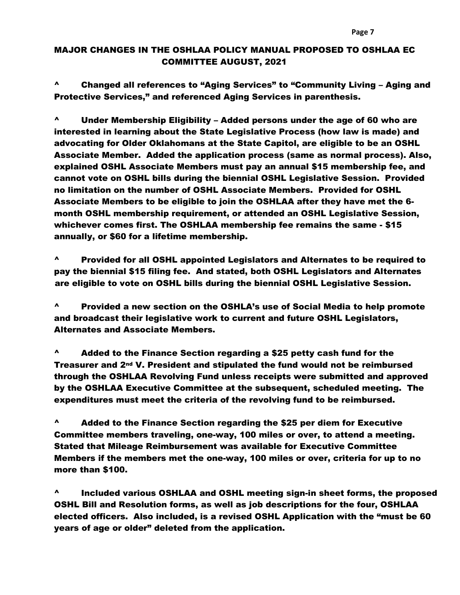# MAJOR CHANGES IN THE OSHLAA POLICY MANUAL PROPOSED TO OSHLAA EC COMMITTEE AUGUST, 2021

^ Changed all references to "Aging Services" to "Community Living – Aging and Protective Services," and referenced Aging Services in parenthesis.

^ Under Membership Eligibility – Added persons under the age of 60 who are interested in learning about the State Legislative Process (how law is made) and advocating for Older Oklahomans at the State Capitol, are eligible to be an OSHL Associate Member. Added the application process (same as normal process). Also, explained OSHL Associate Members must pay an annual \$15 membership fee, and cannot vote on OSHL bills during the biennial OSHL Legislative Session. Provided no limitation on the number of OSHL Associate Members. Provided for OSHL Associate Members to be eligible to join the OSHLAA after they have met the 6 month OSHL membership requirement, or attended an OSHL Legislative Session, whichever comes first. The OSHLAA membership fee remains the same - \$15 annually, or \$60 for a lifetime membership.

^ Provided for all OSHL appointed Legislators and Alternates to be required to pay the biennial \$15 filing fee. And stated, both OSHL Legislators and Alternates are eligible to vote on OSHL bills during the biennial OSHL Legislative Session.

^ Provided a new section on the OSHLA's use of Social Media to help promote and broadcast their legislative work to current and future OSHL Legislators, Alternates and Associate Members.

^ Added to the Finance Section regarding a \$25 petty cash fund for the Treasurer and 2nd V. President and stipulated the fund would not be reimbursed through the OSHLAA Revolving Fund unless receipts were submitted and approved by the OSHLAA Executive Committee at the subsequent, scheduled meeting. The expenditures must meet the criteria of the revolving fund to be reimbursed.

^ Added to the Finance Section regarding the \$25 per diem for Executive Committee members traveling, one-way, 100 miles or over, to attend a meeting. Stated that Mileage Reimbursement was available for Executive Committee Members if the members met the one-way, 100 miles or over, criteria for up to no more than \$100.

^ Included various OSHLAA and OSHL meeting sign-in sheet forms, the proposed OSHL Bill and Resolution forms, as well as job descriptions for the four, OSHLAA elected officers. Also included, is a revised OSHL Application with the "must be 60 years of age or older" deleted from the application.